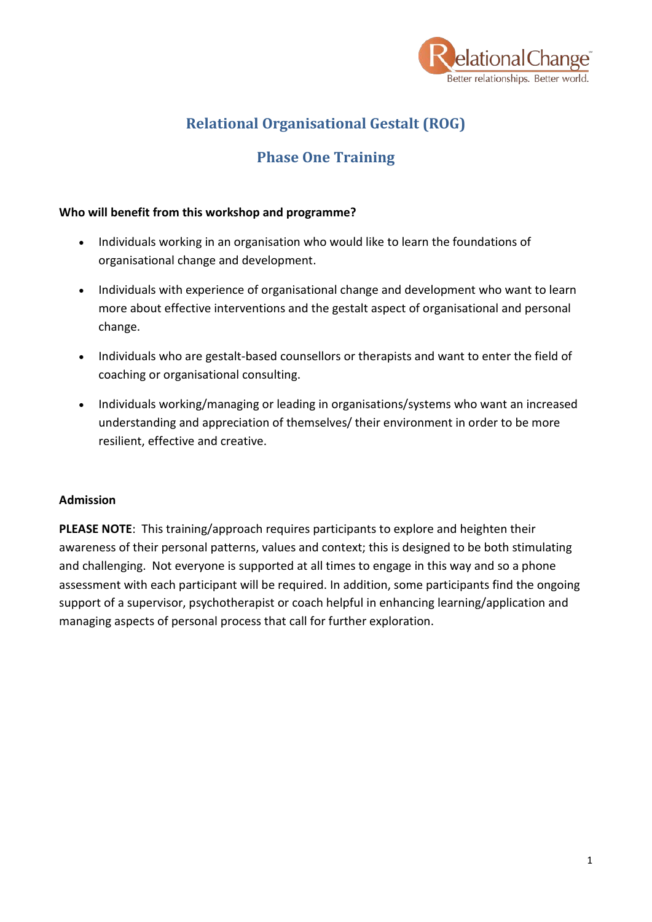

# **Relational Organisational Gestalt (ROG)**

# **Phase One Training**

#### **Who will benefit from this workshop and programme?**

- Individuals working in an organisation who would like to learn the foundations of organisational change and development.
- Individuals with experience of organisational change and development who want to learn more about effective interventions and the gestalt aspect of organisational and personal change.
- Individuals who are gestalt-based counsellors or therapists and want to enter the field of coaching or organisational consulting.
- Individuals working/managing or leading in organisations/systems who want an increased understanding and appreciation of themselves/ their environment in order to be more resilient, effective and creative.

#### **Admission**

**PLEASE NOTE**: This training/approach requires participants to explore and heighten their awareness of their personal patterns, values and context; this is designed to be both stimulating and challenging. Not everyone is supported at all times to engage in this way and so a phone assessment with each participant will be required. In addition, some participants find the ongoing support of a supervisor, psychotherapist or coach helpful in enhancing learning/application and managing aspects of personal process that call for further exploration.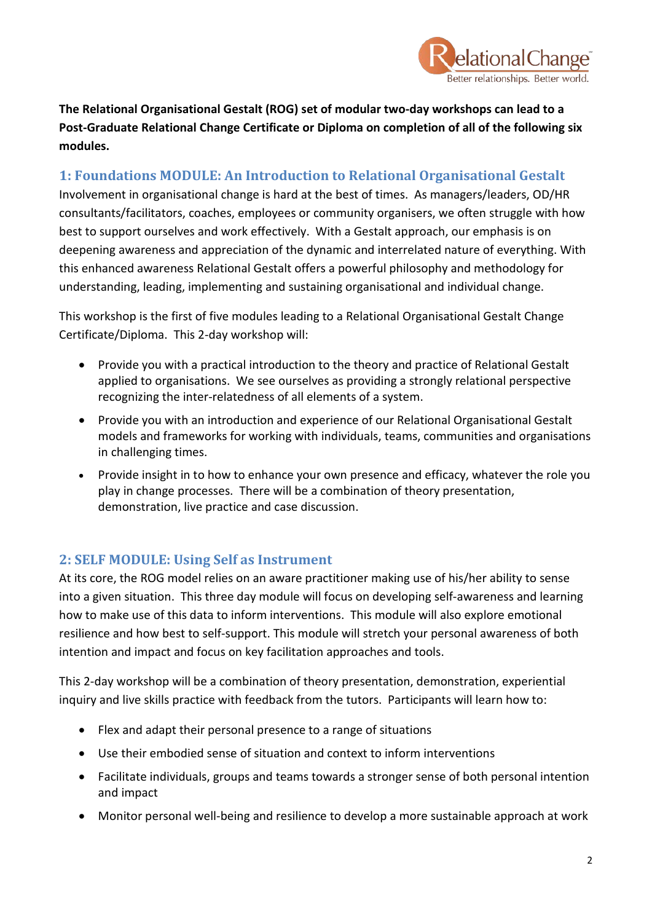

**The Relational Organisational Gestalt (ROG) set of modular two-day workshops can lead to a Post-Graduate Relational Change Certificate or Diploma on completion of all of the following six modules.** 

### **1: Foundations MODULE: An Introduction to Relational Organisational Gestalt**

Involvement in organisational change is hard at the best of times. As managers/leaders, OD/HR consultants/facilitators, coaches, employees or community organisers, we often struggle with how best to support ourselves and work effectively. With a Gestalt approach, our emphasis is on deepening awareness and appreciation of the dynamic and interrelated nature of everything. With this enhanced awareness Relational Gestalt offers a powerful philosophy and methodology for understanding, leading, implementing and sustaining organisational and individual change.

This workshop is the first of five modules leading to a Relational Organisational Gestalt Change Certificate/Diploma. This 2-day workshop will:

- Provide you with a practical introduction to the theory and practice of Relational Gestalt applied to organisations. We see ourselves as providing a strongly relational perspective recognizing the inter-relatedness of all elements of a system.
- Provide you with an introduction and experience of our Relational Organisational Gestalt models and frameworks for working with individuals, teams, communities and organisations in challenging times.
- Provide insight in to how to enhance your own presence and efficacy, whatever the role you play in change processes. There will be a combination of theory presentation, demonstration, live practice and case discussion.

### **2: SELF MODULE: Using Self as Instrument**

At its core, the ROG model relies on an aware practitioner making use of his/her ability to sense into a given situation. This three day module will focus on developing self-awareness and learning how to make use of this data to inform interventions. This module will also explore emotional resilience and how best to self-support. This module will stretch your personal awareness of both intention and impact and focus on key facilitation approaches and tools.

This 2-day workshop will be a combination of theory presentation, demonstration, experiential inquiry and live skills practice with feedback from the tutors. Participants will learn how to:

- Flex and adapt their personal presence to a range of situations
- Use their embodied sense of situation and context to inform interventions
- Facilitate individuals, groups and teams towards a stronger sense of both personal intention and impact
- Monitor personal well-being and resilience to develop a more sustainable approach at work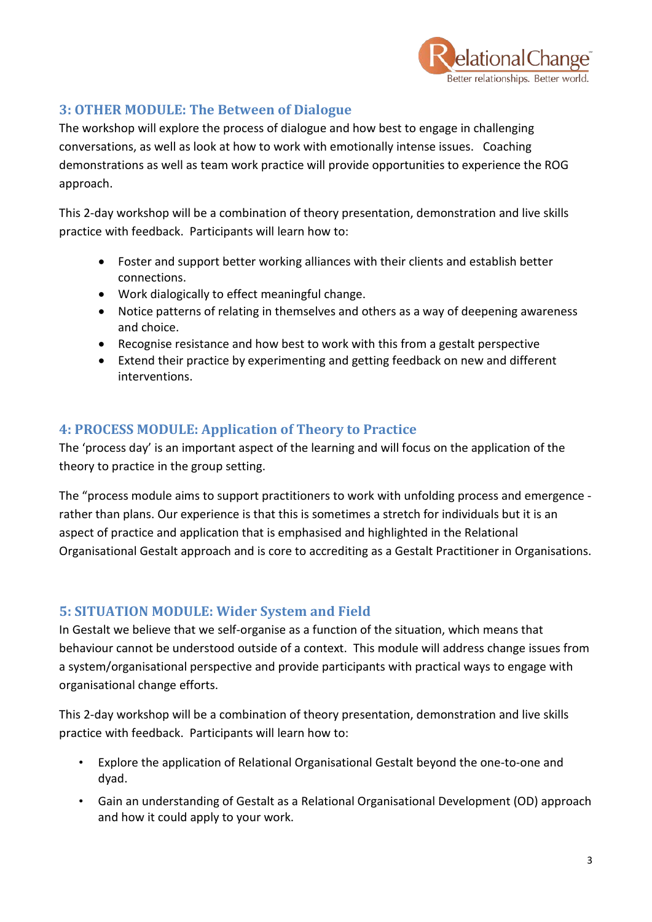

# **3: OTHER MODULE: The Between of Dialogue**

The workshop will explore the process of dialogue and how best to engage in challenging conversations, as well as look at how to work with emotionally intense issues. Coaching demonstrations as well as team work practice will provide opportunities to experience the ROG approach.

This 2-day workshop will be a combination of theory presentation, demonstration and live skills practice with feedback. Participants will learn how to:

- Foster and support better working alliances with their clients and establish better connections.
- Work dialogically to effect meaningful change.
- Notice patterns of relating in themselves and others as a way of deepening awareness and choice.
- Recognise resistance and how best to work with this from a gestalt perspective
- Extend their practice by experimenting and getting feedback on new and different interventions.

# **4: PROCESS MODULE: Application of Theory to Practice**

The 'process day' is an important aspect of the learning and will focus on the application of the theory to practice in the group setting.

The "process module aims to support practitioners to work with unfolding process and emergence rather than plans. Our experience is that this is sometimes a stretch for individuals but it is an aspect of practice and application that is emphasised and highlighted in the Relational Organisational Gestalt approach and is core to accrediting as a Gestalt Practitioner in Organisations.

### **5: SITUATION MODULE: Wider System and Field**

In Gestalt we believe that we self-organise as a function of the situation, which means that behaviour cannot be understood outside of a context. This module will address change issues from a system/organisational perspective and provide participants with practical ways to engage with organisational change efforts.

This 2-day workshop will be a combination of theory presentation, demonstration and live skills practice with feedback. Participants will learn how to:

- Explore the application of Relational Organisational Gestalt beyond the one-to-one and dyad.
- Gain an understanding of Gestalt as a Relational Organisational Development (OD) approach and how it could apply to your work.